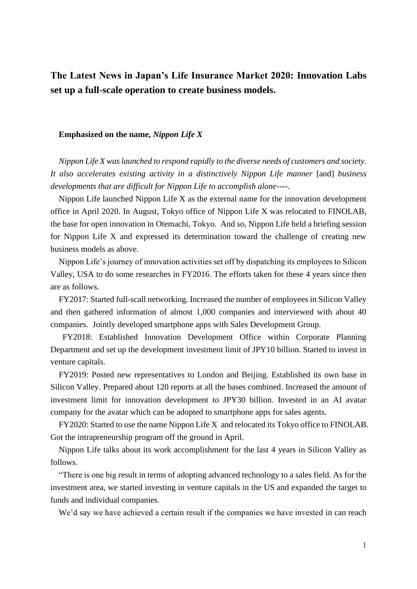# **The Latest News in Japan's Life Insurance Market 2020: Innovation Labs set up a full-scale operation to create business models.**

#### **Emphasized on the name,** *Nippon Life X*

*Nippon Life X was launched to respond rapidly to the diverse needs of customers and society. It also accelerates existing activity in a distinctively Nippon Life manner* [and] *business developments that are difficult for Nippon Life to accomplish alone*----.

Nippon Life launched Nippon Life X as the external name for the innovation development office in April 2020. In August, Tokyo office of Nippon Life X was relocated to FINOLAB, the base for open innovation in Otemachi, Tokyo. And so, Nippon Life held a briefing session for Nippon Life X and expressed its determination toward the challenge of creating new business models as above.

Nippon Life's journey of innovation activities set off by dispatching its employees to Silicon Valley, USA to do some researches in FY2016. The efforts taken for these 4 years since then are as follows.

FY2017: Started full-scall networking. Increased the number of employees in Silicon Valley and then gathered information of almost 1,000 companies and interviewed with about 40 companies. Jointly developed smartphone apps with Sales Development Group.

FY2018: Established Innovation Development Office within Corporate Planning Department and set up the development investment limit of JPY10 billion. Started to invest in venture capitals.

FY2019: Posted new representatives to London and Beijing. Established its own base in Silicon Valley. Prepared about 120 reports at all the bases combined. Increased the amount of investment limit for innovation development to JPY30 billion. Invested in an AI avatar company for the avatar which can be adopted to smartphone apps for sales agents.

FY2020: Started to use the name Nippon Life X and relocated its Tokyo office to FINOLAB. Got the intrapreneurship program off the ground in April.

Nippon Life talks about its work accomplishment for the last 4 years in Silicon Valley as follows.

"There is one big result in terms of adopting advanced technology to a sales field. As for the investment area, we started investing in venture capitals in the US and expanded the target to funds and individual companies.

We'd say we have achieved a certain result if the companies we have invested in can reach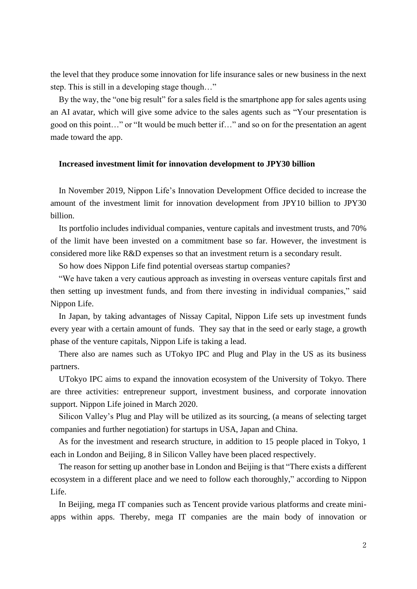the level that they produce some innovation for life insurance sales or new business in the next step. This is still in a developing stage though…"

By the way, the "one big result" for a sales field is the smartphone app for sales agents using an AI avatar, which will give some advice to the sales agents such as "Your presentation is good on this point…" or "It would be much better if…" and so on for the presentation an agent made toward the app.

### **Increased investment limit for innovation development to JPY30 billion**

In November 2019, Nippon Life's Innovation Development Office decided to increase the amount of the investment limit for innovation development from JPY10 billion to JPY30 billion.

Its portfolio includes individual companies, venture capitals and investment trusts, and 70% of the limit have been invested on a commitment base so far. However, the investment is considered more like R&D expenses so that an investment return is a secondary result.

So how does Nippon Life find potential overseas startup companies?

"We have taken a very cautious approach as investing in overseas venture capitals first and then setting up investment funds, and from there investing in individual companies," said Nippon Life.

In Japan, by taking advantages of Nissay Capital, Nippon Life sets up investment funds every year with a certain amount of funds. They say that in the seed or early stage, a growth phase of the venture capitals, Nippon Life is taking a lead.

There also are names such as UTokyo IPC and Plug and Play in the US as its business partners.

UTokyo IPC aims to expand the innovation ecosystem of the University of Tokyo. There are three activities: entrepreneur support, investment business, and corporate innovation support. Nippon Life joined in March 2020.

Silicon Valley's Plug and Play will be utilized as its sourcing, (a means of selecting target companies and further negotiation) for startups in USA, Japan and China.

As for the investment and research structure, in addition to 15 people placed in Tokyo, 1 each in London and Beijing, 8 in Silicon Valley have been placed respectively.

The reason for setting up another base in London and Beijing is that "There exists a different ecosystem in a different place and we need to follow each thoroughly," according to Nippon Life.

In Beijing, mega IT companies such as Tencent provide various platforms and create miniapps within apps. Thereby, mega IT companies are the main body of innovation or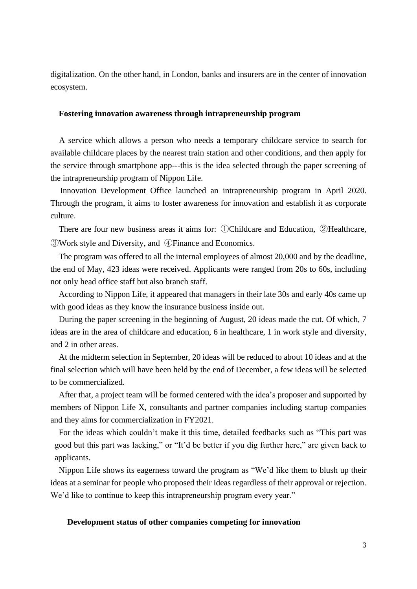digitalization. On the other hand, in London, banks and insurers are in the center of innovation ecosystem.

## **Fostering innovation awareness through intrapreneurship program**

A service which allows a person who needs a temporary childcare service to search for available childcare places by the nearest train station and other conditions, and then apply for the service through smartphone app---this is the idea selected through the paper screening of the intrapreneurship program of Nippon Life.

Innovation Development Office launched an intrapreneurship program in April 2020. Through the program, it aims to foster awareness for innovation and establish it as corporate culture.

There are four new business areas it aims for: ①Childcare and Education, ②Healthcare, ③Work style and Diversity, and ④Finance and Economics.

The program was offered to all the internal employees of almost 20,000 and by the deadline, the end of May, 423 ideas were received. Applicants were ranged from 20s to 60s, including not only head office staff but also branch staff.

According to Nippon Life, it appeared that managers in their late 30s and early 40s came up with good ideas as they know the insurance business inside out.

During the paper screening in the beginning of August, 20 ideas made the cut. Of which, 7 ideas are in the area of childcare and education, 6 in healthcare, 1 in work style and diversity, and 2 in other areas.

At the midterm selection in September, 20 ideas will be reduced to about 10 ideas and at the final selection which will have been held by the end of December, a few ideas will be selected to be commercialized.

After that, a project team will be formed centered with the idea's proposer and supported by members of Nippon Life X, consultants and partner companies including startup companies and they aims for commercialization in FY2021.

For the ideas which couldn't make it this time, detailed feedbacks such as "This part was good but this part was lacking," or "It'd be better if you dig further here," are given back to applicants.

Nippon Life shows its eagerness toward the program as "We'd like them to blush up their ideas at a seminar for people who proposed their ideas regardless of their approval or rejection. We'd like to continue to keep this intrapreneurship program every year."

#### **Development status of other companies competing for innovation**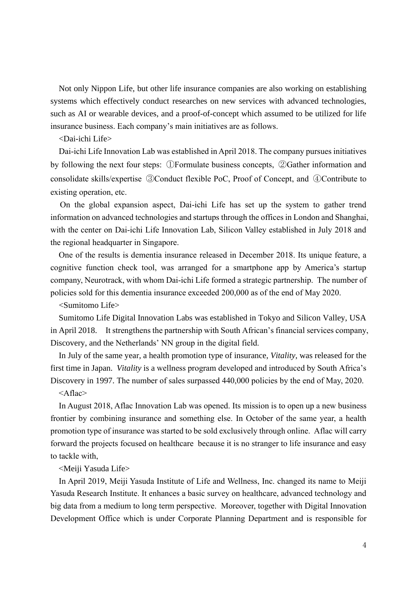Not only Nippon Life, but other life insurance companies are also working on establishing systems which effectively conduct researches on new services with advanced technologies, such as AI or wearable devices, and a proof-of-concept which assumed to be utilized for life insurance business. Each company's main initiatives are as follows.

<Dai-ichi Life>

Dai-ichi Life Innovation Lab was established in April 2018. The company pursues initiatives by following the next four steps: ①Formulate business concepts, ②Gather information and consolidate skills/expertise ③Conduct flexible PoC, Proof of Concept, and ④Contribute to existing operation, etc.

On the global expansion aspect, Dai-ichi Life has set up the system to gather trend information on advanced technologies and startups through the offices in London and Shanghai, with the center on Dai-ichi Life Innovation Lab, Silicon Valley established in July 2018 and the regional headquarter in Singapore.

One of the results is dementia insurance released in December 2018. Its unique feature, a cognitive function check tool, was arranged for a smartphone app by America's startup company, Neurotrack, with whom Dai-ichi Life formed a strategic partnership. The number of policies sold for this dementia insurance exceeded 200,000 as of the end of May 2020.

<Sumitomo Life>

Sumitomo Life Digital Innovation Labs was established in Tokyo and Silicon Valley, USA in April 2018. It strengthens the partnership with South African's financial services company, Discovery, and the Netherlands' NN group in the digital field.

In July of the same year, a health promotion type of insurance, *Vitality*, was released for the first time in Japan. *Vitality* is a wellness program developed and introduced by South Africa's Discovery in 1997. The number of sales surpassed 440,000 policies by the end of May, 2020.

<Aflac>

In August 2018, Aflac Innovation Lab was opened. Its mission is to open up a new business frontier by combining insurance and something else. In October of the same year, a health promotion type of insurance was started to be sold exclusively through online. Aflac will carry forward the projects focused on healthcare because it is no stranger to life insurance and easy to tackle with,

<Meiji Yasuda Life>

In April 2019, Meiji Yasuda Institute of Life and Wellness, Inc. changed its name to Meiji Yasuda Research Institute. It enhances a basic survey on healthcare, advanced technology and big data from a medium to long term perspective. Moreover, together with Digital Innovation Development Office which is under Corporate Planning Department and is responsible for